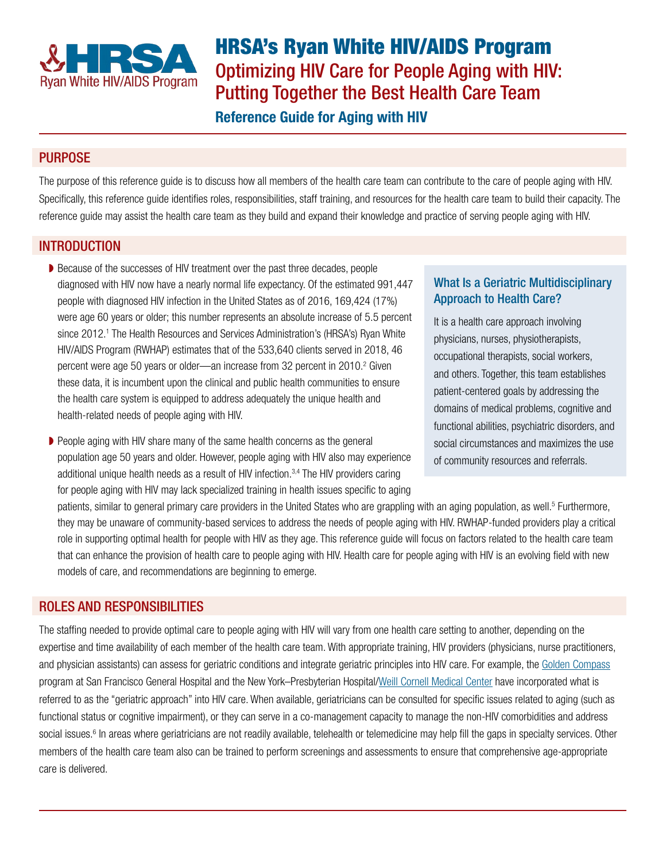

HRSA's Ryan White HIV/AIDS Program Optimizing HIV Care for People Aging with HIV: Putting Together the Best Health Care Team

# Reference Guide for Aging with HIV

## PURPOSE

The purpose of this reference guide is to discuss how all members of the health care team can contribute to the care of people aging with HIV. Specifically, this reference guide identifies roles, responsibilities, staff training, and resources for the health care team to build their capacity. The reference guide may assist the health care team as they build and expand their knowledge and practice of serving people aging with HIV.

## **INTRODUCTION**

- ◗ Because of the successes of HIV treatment over the past three decades, people diagnosed with HIV now have a nearly normal life expectancy. Of the estimated 991,447 people with diagnosed HIV infection in the United States as of 2016, 169,424 (17%) were age 60 years or older; this number represents an absolute increase of 5.5 percent since 2012.<sup>1</sup> The Health Resources and Services Administration's (HRSA's) Ryan White HIV/AIDS Program (RWHAP) estimates that of the 533,640 clients served in 2018, 46 percent were age 50 years or older—an increase from 32 percent in 2010.<sup>2</sup> Given these data, it is incumbent upon the clinical and public health communities to ensure the health care system is equipped to address adequately the unique health and health-related needs of people aging with HIV.
- People aging with HIV share many of the same health concerns as the general population age 50 years and older. However, people aging with HIV also may experience additional unique health needs as a result of HIV infection. $3,4$  The HIV providers caring for people aging with HIV may lack specialized training in health issues specific to aging

## What Is a Geriatric Multidisciplinary Approach to Health Care?

It is a health care approach involving physicians, nurses, physiotherapists, occupational therapists, social workers, and others. Together, this team establishes patient-centered goals by addressing the domains of medical problems, cognitive and functional abilities, psychiatric disorders, and social circumstances and maximizes the use of community resources and referrals.

patients, similar to general primary care providers in the United States who are grappling with an aging population, as well.<sup>5</sup> Furthermore, they may be unaware of community-based services to address the needs of people aging with HIV. RWHAP-funded providers play a critical role in supporting optimal health for people with HIV as they age. This reference guide will focus on factors related to the health care team that can enhance the provision of health care to people aging with HIV. Health care for people aging with HIV is an evolving field with new models of care, and recommendations are beginning to emerge.

### ROLES AND RESPONSIBILITIES

The staffing needed to provide optimal care to people aging with HIV will vary from one health care setting to another, depending on the expertise and time availability of each member of the health care team. With appropriate training, HIV providers (physicians, nurse practitioners, and physician assistants) can assess for geriatric conditions and integrate geriatric principles into HIV care. For example, the [Golden Compass](https://hividgm.ucsf.edu/care/aging) program at San Francisco General Hospital and the New York–Presbyterian Hospital[/Weill Cornell Medical Center](https://weill.cornell.edu/) have incorporated what is referred to as the "geriatric approach" into HIV care. When available, geriatricians can be consulted for specific issues related to aging (such as functional status or cognitive impairment), or they can serve in a co-management capacity to manage the non-HIV comorbidities and address social issues.<sup>6</sup> In areas where geriatricians are not readily available, telehealth or telemedicine may help fill the gaps in specialty services. Other members of the health care team also can be trained to perform screenings and assessments to ensure that comprehensive age-appropriate care is delivered.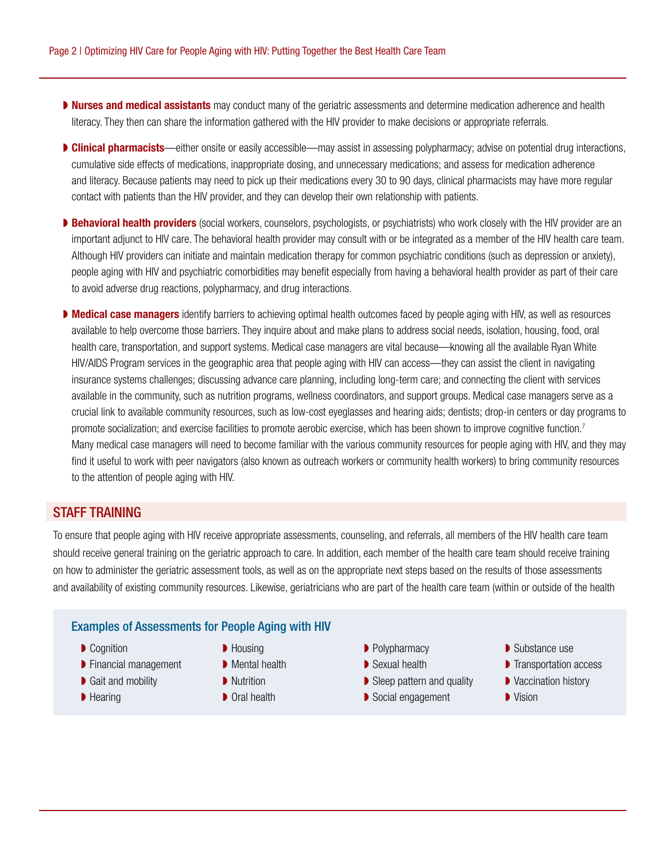- **Nurses and medical assistants** may conduct many of the geriatric assessments and determine medication adherence and health literacy. They then can share the information gathered with the HIV provider to make decisions or appropriate referrals.
- **Delinical pharmacists**—either onsite or easily accessible—may assist in assessing polypharmacy; advise on potential drug interactions, cumulative side effects of medications, inappropriate dosing, and unnecessary medications; and assess for medication adherence and literacy. Because patients may need to pick up their medications every 30 to 90 days, clinical pharmacists may have more regular contact with patients than the HIV provider, and they can develop their own relationship with patients.
- ▶ Behavioral health providers (social workers, counselors, psychologists, or psychiatrists) who work closely with the HIV provider are an important adjunct to HIV care. The behavioral health provider may consult with or be integrated as a member of the HIV health care team. Although HIV providers can initiate and maintain medication therapy for common psychiatric conditions (such as depression or anxiety), people aging with HIV and psychiatric comorbidities may benefit especially from having a behavioral health provider as part of their care to avoid adverse drug reactions, polypharmacy, and drug interactions.
- Medical case managers identify barriers to achieving optimal health outcomes faced by people aging with HIV, as well as resources available to help overcome those barriers. They inquire about and make plans to address social needs, isolation, housing, food, oral health care, transportation, and support systems. Medical case managers are vital because—knowing all the available Ryan White HIV/AIDS Program services in the geographic area that people aging with HIV can access—they can assist the client in navigating insurance systems challenges; discussing advance care planning, including long-term care; and connecting the client with services available in the community, such as nutrition programs, wellness coordinators, and support groups. Medical case managers serve as a crucial link to available community resources, such as low-cost eyeglasses and hearing aids; dentists; drop-in centers or day programs to promote socialization; and exercise facilities to promote aerobic exercise, which has been shown to improve cognitive function.<sup>7</sup> Many medical case managers will need to become familiar with the various community resources for people aging with HIV, and they may find it useful to work with peer navigators (also known as outreach workers or community health workers) to bring community resources to the attention of people aging with HIV.

### STAFF TRAINING

To ensure that people aging with HIV receive appropriate assessments, counseling, and referrals, all members of the HIV health care team should receive general training on the geriatric approach to care. In addition, each member of the health care team should receive training on how to administer the geriatric assessment tools, as well as on the appropriate next steps based on the results of those assessments and availability of existing community resources. Likewise, geriatricians who are part of the health care team (within or outside of the health

#### Examples of Assessments for People Aging with HIV

- **▶ Cognition**
- **▶ Financial management**
- Gait and mobility
- **▶ Hearing**
- Housing
- Mental health
- **D** Nutrition
- Oral health
- Polypharmacy
- Sexual health
- ◗ Sleep pattern and quality
- ◗ Social engagement
- Substance use
- **▶ Transportation access**
- Vaccination history
- ◗ Vision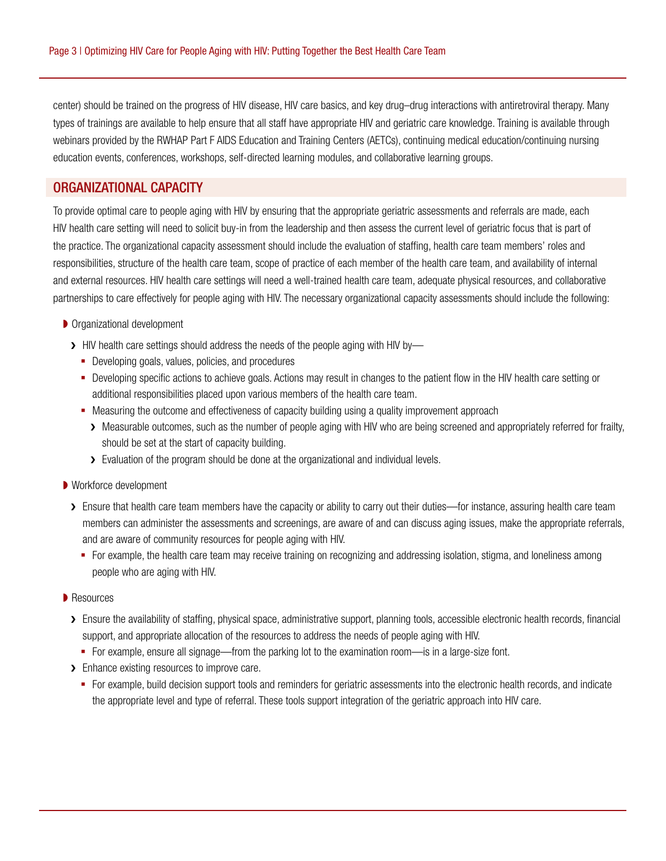center) should be trained on the progress of HIV disease, HIV care basics, and key drug–drug interactions with antiretroviral therapy. Many types of trainings are available to help ensure that all staff have appropriate HIV and geriatric care knowledge. Training is available through webinars provided by the RWHAP Part F AIDS Education and Training Centers (AETCs), continuing medical education/continuing nursing education events, conferences, workshops, self-directed learning modules, and collaborative learning groups.

### ORGANIZATIONAL CAPACITY

To provide optimal care to people aging with HIV by ensuring that the appropriate geriatric assessments and referrals are made, each HIV health care setting will need to solicit buy-in from the leadership and then assess the current level of geriatric focus that is part of the practice. The organizational capacity assessment should include the evaluation of staffing, health care team members' roles and responsibilities, structure of the health care team, scope of practice of each member of the health care team, and availability of internal and external resources. HIV health care settings will need a well-trained health care team, adequate physical resources, and collaborative partnerships to care effectively for people aging with HIV. The necessary organizational capacity assessments should include the following:

#### ● Organizational development

- > HIV health care settings should address the needs of the people aging with HIV by-
	- Developing goals, values, policies, and procedures
	- Developing specific actions to achieve goals. Actions may result in changes to the patient flow in the HIV health care setting or additional responsibilities placed upon various members of the health care team.
	- Measuring the outcome and effectiveness of capacity building using a quality improvement approach
		- > Measurable outcomes, such as the number of people aging with HIV who are being screened and appropriately referred for frailty, should be set at the start of capacity building.
		- > Evaluation of the program should be done at the organizational and individual levels.
- Workforce development
	- > Ensure that health care team members have the capacity or ability to carry out their duties—for instance, assuring health care team members can administer the assessments and screenings, are aware of and can discuss aging issues, make the appropriate referrals, and are aware of community resources for people aging with HIV.
		- For example, the health care team may receive training on recognizing and addressing isolation, stigma, and loneliness among people who are aging with HIV.

#### **▶ Resources**

- > Ensure the availability of staffing, physical space, administrative support, planning tools, accessible electronic health records, financial support, and appropriate allocation of the resources to address the needs of people aging with HIV.
	- For example, ensure all signage—from the parking lot to the examination room—is in a large-size font.
- > Enhance existing resources to improve care.
	- For example, build decision support tools and reminders for geriatric assessments into the electronic health records, and indicate the appropriate level and type of referral. These tools support integration of the geriatric approach into HIV care.